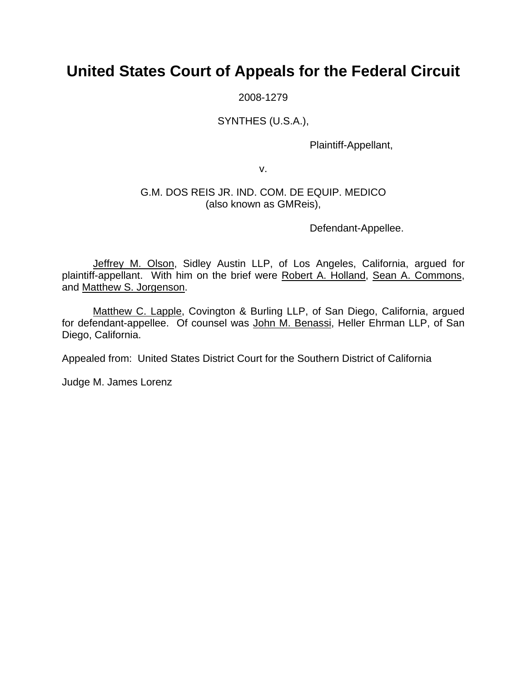# **United States Court of Appeals for the Federal Circuit**

2008-1279

## SYNTHES (U.S.A.),

Plaintiff-Appellant,

v.

### G.M. DOS REIS JR. IND. COM. DE EQUIP. MEDICO (also known as GMReis),

Defendant-Appellee.

Jeffrey M. Olson, Sidley Austin LLP, of Los Angeles, California, argued for plaintiff-appellant. With him on the brief were Robert A. Holland, Sean A. Commons, and Matthew S. Jorgenson.

Matthew C. Lapple, Covington & Burling LLP, of San Diego, California, argued for defendant-appellee. Of counsel was John M. Benassi, Heller Ehrman LLP, of San Diego, California.

Appealed from: United States District Court for the Southern District of California

Judge M. James Lorenz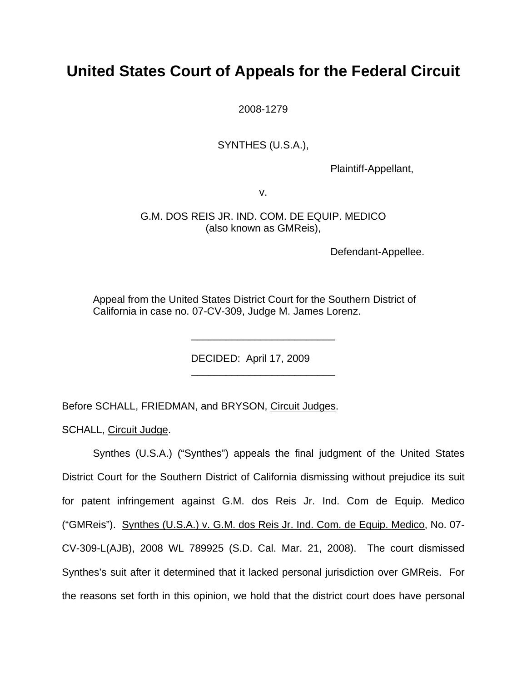# **United States Court of Appeals for the Federal Circuit**

2008-1279

### SYNTHES (U.S.A.),

Plaintiff-Appellant,

v.

G.M. DOS REIS JR. IND. COM. DE EQUIP. MEDICO (also known as GMReis),

Defendant-Appellee.

Appeal from the United States District Court for the Southern District of California in case no. 07-CV-309, Judge M. James Lorenz.

\_\_\_\_\_\_\_\_\_\_\_\_\_\_\_\_\_\_\_\_\_\_\_\_\_

\_\_\_\_\_\_\_\_\_\_\_\_\_\_\_\_\_\_\_\_\_\_\_\_\_

DECIDED: April 17, 2009

Before SCHALL, FRIEDMAN, and BRYSON, Circuit Judges.

SCHALL, Circuit Judge.

Synthes (U.S.A.) ("Synthes") appeals the final judgment of the United States District Court for the Southern District of California dismissing without prejudice its suit for patent infringement against G.M. dos Reis Jr. Ind. Com de Equip. Medico ("GMReis"). Synthes (U.S.A.) v. G.M. dos Reis Jr. Ind. Com. de Equip. Medico, No. 07- CV-309-L(AJB), 2008 WL 789925 (S.D. Cal. Mar. 21, 2008). The court dismissed Synthes's suit after it determined that it lacked personal jurisdiction over GMReis. For the reasons set forth in this opinion, we hold that the district court does have personal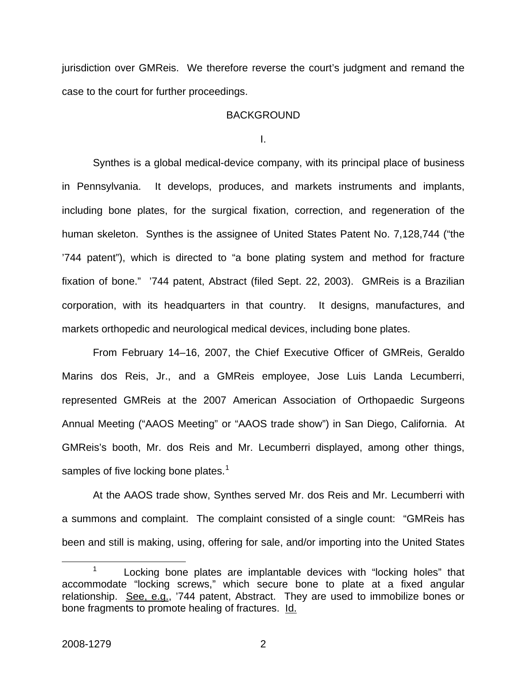jurisdiction over GMReis. We therefore reverse the court's judgment and remand the case to the court for further proceedings.

#### **BACKGROUND**

I.

Synthes is a global medical-device company, with its principal place of business in Pennsylvania. It develops, produces, and markets instruments and implants, including bone plates, for the surgical fixation, correction, and regeneration of the human skeleton. Synthes is the assignee of United States Patent No. 7,128,744 ("the '744 patent"), which is directed to "a bone plating system and method for fracture fixation of bone." '744 patent, Abstract (filed Sept. 22, 2003). GMReis is a Brazilian corporation, with its headquarters in that country. It designs, manufactures, and markets orthopedic and neurological medical devices, including bone plates.

From February 14–16, 2007, the Chief Executive Officer of GMReis, Geraldo Marins dos Reis, Jr., and a GMReis employee, Jose Luis Landa Lecumberri, represented GMReis at the 2007 American Association of Orthopaedic Surgeons Annual Meeting ("AAOS Meeting" or "AAOS trade show") in San Diego, California. At GMReis's booth, Mr. dos Reis and Mr. Lecumberri displayed, among other things, samples of five locking bone plates.<sup>[1](#page-2-0)</sup>

At the AAOS trade show, Synthes served Mr. dos Reis and Mr. Lecumberri with a summons and complaint. The complaint consisted of a single count: "GMReis has been and still is making, using, offering for sale, and/or importing into the United States

<span id="page-2-0"></span> <sup>1</sup>  $1$  Locking bone plates are implantable devices with "locking holes" that accommodate "locking screws," which secure bone to plate at a fixed angular relationship. See, e.g., '744 patent, Abstract. They are used to immobilize bones or bone fragments to promote healing of fractures. Id.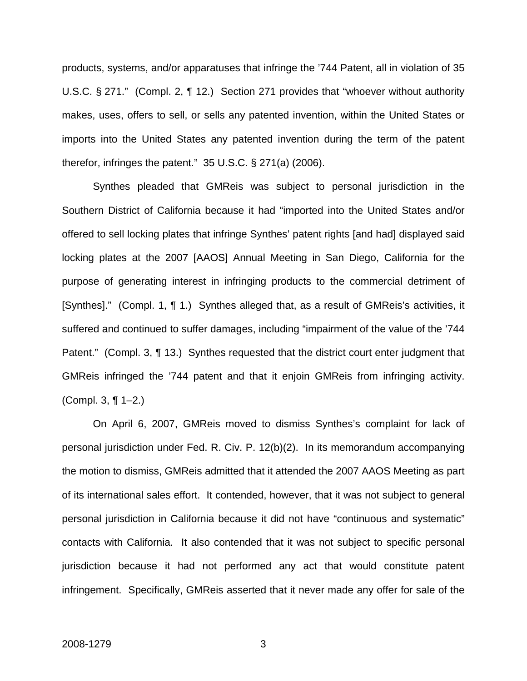products, systems, and/or apparatuses that infringe the '744 Patent, all in violation of 35 U.S.C. § 271." (Compl. 2, ¶ 12.) Section 271 provides that "whoever without authority makes, uses, offers to sell, or sells any patented invention, within the United States or imports into the United States any patented invention during the term of the patent therefor, infringes the patent." 35 U.S.C. § 271(a) (2006).

Synthes pleaded that GMReis was subject to personal jurisdiction in the Southern District of California because it had "imported into the United States and/or offered to sell locking plates that infringe Synthes' patent rights [and had] displayed said locking plates at the 2007 [AAOS] Annual Meeting in San Diego, California for the purpose of generating interest in infringing products to the commercial detriment of [Synthes]." (Compl. 1, ¶ 1.) Synthes alleged that, as a result of GMReis's activities, it suffered and continued to suffer damages, including "impairment of the value of the '744 Patent." (Compl. 3, ¶ 13.) Synthes requested that the district court enter judgment that GMReis infringed the '744 patent and that it enjoin GMReis from infringing activity. (Compl. 3, ¶ 1–2.)

On April 6, 2007, GMReis moved to dismiss Synthes's complaint for lack of personal jurisdiction under Fed. R. Civ. P. 12(b)(2). In its memorandum accompanying the motion to dismiss, GMReis admitted that it attended the 2007 AAOS Meeting as part of its international sales effort. It contended, however, that it was not subject to general personal jurisdiction in California because it did not have "continuous and systematic" contacts with California. It also contended that it was not subject to specific personal jurisdiction because it had not performed any act that would constitute patent infringement. Specifically, GMReis asserted that it never made any offer for sale of the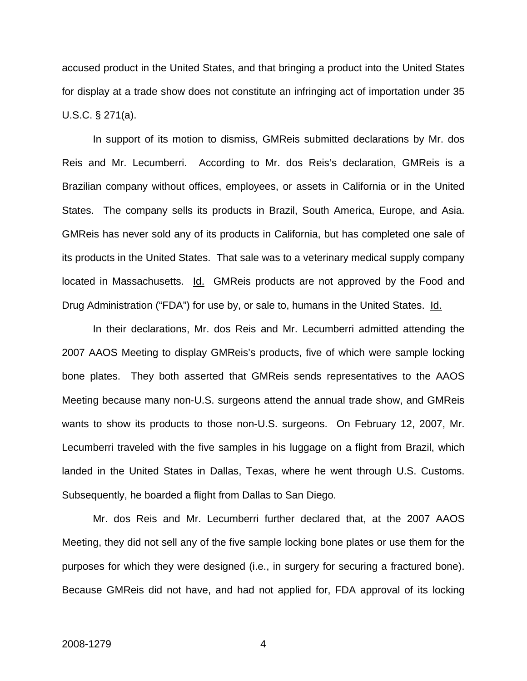accused product in the United States, and that bringing a product into the United States for display at a trade show does not constitute an infringing act of importation under 35 U.S.C. § 271(a).

In support of its motion to dismiss, GMReis submitted declarations by Mr. dos Reis and Mr. Lecumberri. According to Mr. dos Reis's declaration, GMReis is a Brazilian company without offices, employees, or assets in California or in the United States. The company sells its products in Brazil, South America, Europe, and Asia. GMReis has never sold any of its products in California, but has completed one sale of its products in the United States. That sale was to a veterinary medical supply company located in Massachusetts. Id. GMReis products are not approved by the Food and Drug Administration ("FDA") for use by, or sale to, humans in the United States. Id.

In their declarations, Mr. dos Reis and Mr. Lecumberri admitted attending the 2007 AAOS Meeting to display GMReis's products, five of which were sample locking bone plates. They both asserted that GMReis sends representatives to the AAOS Meeting because many non-U.S. surgeons attend the annual trade show, and GMReis wants to show its products to those non-U.S. surgeons. On February 12, 2007, Mr. Lecumberri traveled with the five samples in his luggage on a flight from Brazil, which landed in the United States in Dallas, Texas, where he went through U.S. Customs. Subsequently, he boarded a flight from Dallas to San Diego.

Mr. dos Reis and Mr. Lecumberri further declared that, at the 2007 AAOS Meeting, they did not sell any of the five sample locking bone plates or use them for the purposes for which they were designed (i.e., in surgery for securing a fractured bone). Because GMReis did not have, and had not applied for, FDA approval of its locking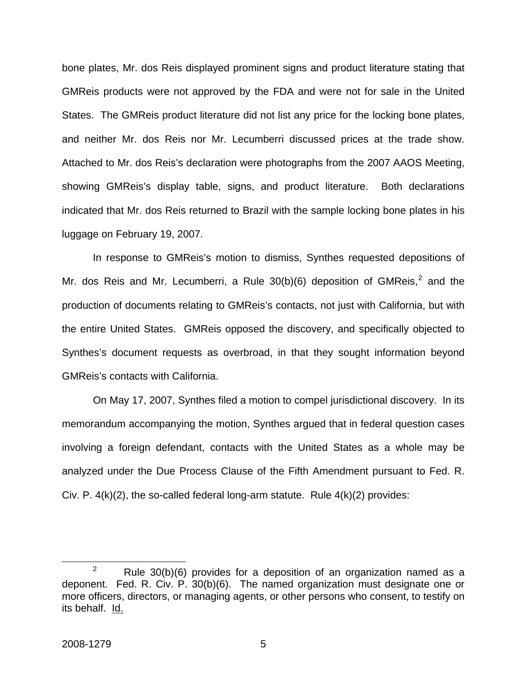bone plates, Mr. dos Reis displayed prominent signs and product literature stating that GMReis products were not approved by the FDA and were not for sale in the United States. The GMReis product literature did not list any price for the locking bone plates, and neither Mr. dos Reis nor Mr. Lecumberri discussed prices at the trade show. Attached to Mr. dos Reis's declaration were photographs from the 2007 AAOS Meeting, showing GMReis's display table, signs, and product literature. Both declarations indicated that Mr. dos Reis returned to Brazil with the sample locking bone plates in his luggage on February 19, 2007.

In response to GMReis's motion to dismiss, Synthes requested depositions of Mr. dos Reis and Mr. Lecumberri, a Rule  $30(b)(6)$  deposition of GMReis,<sup>[2](#page-5-0)</sup> and the production of documents relating to GMReis's contacts, not just with California, but with the entire United States. GMReis opposed the discovery, and specifically objected to Synthes's document requests as overbroad, in that they sought information beyond GMReis's contacts with California.

On May 17, 2007, Synthes filed a motion to compel jurisdictional discovery. In its memorandum accompanying the motion, Synthes argued that in federal question cases involving a foreign defendant, contacts with the United States as a whole may be analyzed under the Due Process Clause of the Fifth Amendment pursuant to Fed. R. Civ. P.  $4(k)(2)$ , the so-called federal long-arm statute. Rule  $4(k)(2)$  provides:

<span id="page-5-0"></span> $\frac{1}{2}$ <sup>2</sup> Rule 30(b)(6) provides for a deposition of an organization named as a deponent. Fed. R. Civ. P. 30(b)(6). The named organization must designate one or more officers, directors, or managing agents, or other persons who consent, to testify on its behalf. Id.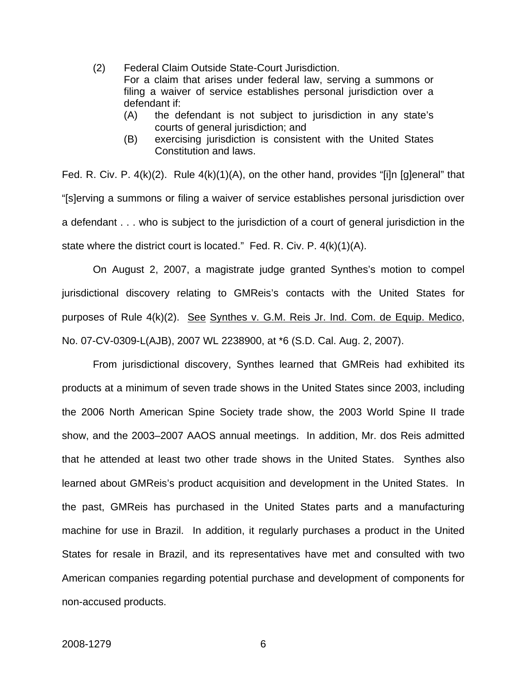- (2) Federal Claim Outside State-Court Jurisdiction. For a claim that arises under federal law, serving a summons or filing a waiver of service establishes personal jurisdiction over a defendant if:
	- (A) the defendant is not subject to jurisdiction in any state's courts of general jurisdiction; and
	- (B) exercising jurisdiction is consistent with the United States Constitution and laws.

Fed. R. Civ. P. 4(k)(2). Rule 4(k)(1)(A), on the other hand, provides "[i]n [g]eneral" that "[s]erving a summons or filing a waiver of service establishes personal jurisdiction over a defendant . . . who is subject to the jurisdiction of a court of general jurisdiction in the state where the district court is located." Fed. R. Civ. P. 4(k)(1)(A).

On August 2, 2007, a magistrate judge granted Synthes's motion to compel jurisdictional discovery relating to GMReis's contacts with the United States for purposes of Rule 4(k)(2). See Synthes v. G.M. Reis Jr. Ind. Com. de Equip. Medico, No. 07-CV-0309-L(AJB), 2007 WL 2238900, at \*6 (S.D. Cal. Aug. 2, 2007).

From jurisdictional discovery, Synthes learned that GMReis had exhibited its products at a minimum of seven trade shows in the United States since 2003, including the 2006 North American Spine Society trade show, the 2003 World Spine II trade show, and the 2003–2007 AAOS annual meetings. In addition, Mr. dos Reis admitted that he attended at least two other trade shows in the United States. Synthes also learned about GMReis's product acquisition and development in the United States. In the past, GMReis has purchased in the United States parts and a manufacturing machine for use in Brazil. In addition, it regularly purchases a product in the United States for resale in Brazil, and its representatives have met and consulted with two American companies regarding potential purchase and development of components for non-accused products.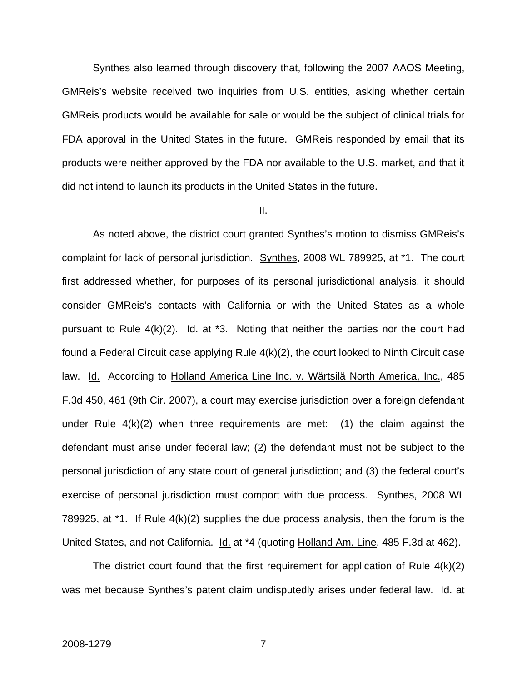Synthes also learned through discovery that, following the 2007 AAOS Meeting, GMReis's website received two inquiries from U.S. entities, asking whether certain GMReis products would be available for sale or would be the subject of clinical trials for FDA approval in the United States in the future. GMReis responded by email that its products were neither approved by the FDA nor available to the U.S. market, and that it did not intend to launch its products in the United States in the future.

#### II.

As noted above, the district court granted Synthes's motion to dismiss GMReis's complaint for lack of personal jurisdiction. Synthes, 2008 WL 789925, at \*1. The court first addressed whether, for purposes of its personal jurisdictional analysis, it should consider GMReis's contacts with California or with the United States as a whole pursuant to Rule  $4(k)(2)$ . Id. at \*3. Noting that neither the parties nor the court had found a Federal Circuit case applying Rule 4(k)(2), the court looked to Ninth Circuit case law. Id. According to Holland America Line Inc. v. Wärtsilä North America, Inc., 485 F.3d 450, 461 (9th Cir. 2007), a court may exercise jurisdiction over a foreign defendant under Rule  $4(k)(2)$  when three requirements are met: (1) the claim against the defendant must arise under federal law; (2) the defendant must not be subject to the personal jurisdiction of any state court of general jurisdiction; and (3) the federal court's exercise of personal jurisdiction must comport with due process. Synthes, 2008 WL 789925, at \*1. If Rule 4(k)(2) supplies the due process analysis, then the forum is the United States, and not California. Id. at \*4 (quoting Holland Am. Line, 485 F.3d at 462).

The district court found that the first requirement for application of Rule 4(k)(2) was met because Synthes's patent claim undisputedly arises under federal law. Id. at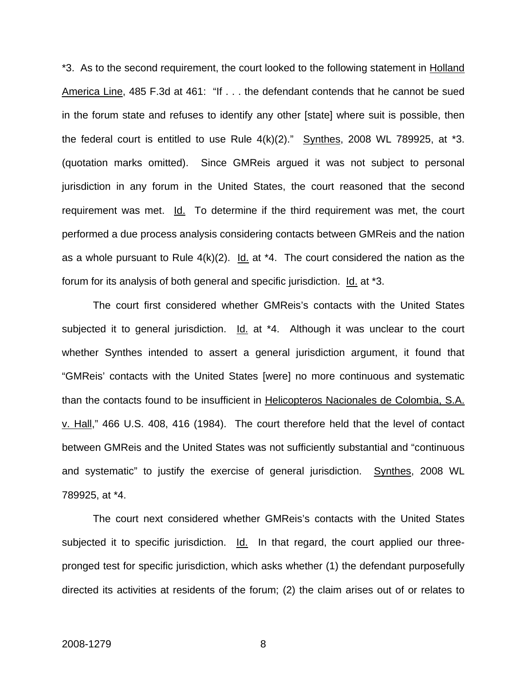\*3. As to the second requirement, the court looked to the following statement in Holland America Line, 485 F.3d at 461: "If . . . the defendant contends that he cannot be sued in the forum state and refuses to identify any other [state] where suit is possible, then the federal court is entitled to use Rule  $4(k)(2)$ ." Synthes, 2008 WL 789925, at  $*3$ . (quotation marks omitted). Since GMReis argued it was not subject to personal jurisdiction in any forum in the United States, the court reasoned that the second requirement was met. Id. To determine if the third requirement was met, the court performed a due process analysis considering contacts between GMReis and the nation as a whole pursuant to Rule  $4(k)(2)$ . Id. at \*4. The court considered the nation as the forum for its analysis of both general and specific jurisdiction. Id. at \*3.

The court first considered whether GMReis's contacts with the United States subjected it to general jurisdiction. Id. at \*4. Although it was unclear to the court whether Synthes intended to assert a general jurisdiction argument, it found that "GMReis' contacts with the United States [were] no more continuous and systematic than the contacts found to be insufficient in Helicopteros Nacionales de Colombia, S.A. v. Hall," 466 U.S. 408, 416 (1984). The court therefore held that the level of contact between GMReis and the United States was not sufficiently substantial and "continuous and systematic" to justify the exercise of general jurisdiction. Synthes, 2008 WL 789925, at \*4.

The court next considered whether GMReis's contacts with the United States subjected it to specific jurisdiction. Id. In that regard, the court applied our threepronged test for specific jurisdiction, which asks whether (1) the defendant purposefully directed its activities at residents of the forum; (2) the claim arises out of or relates to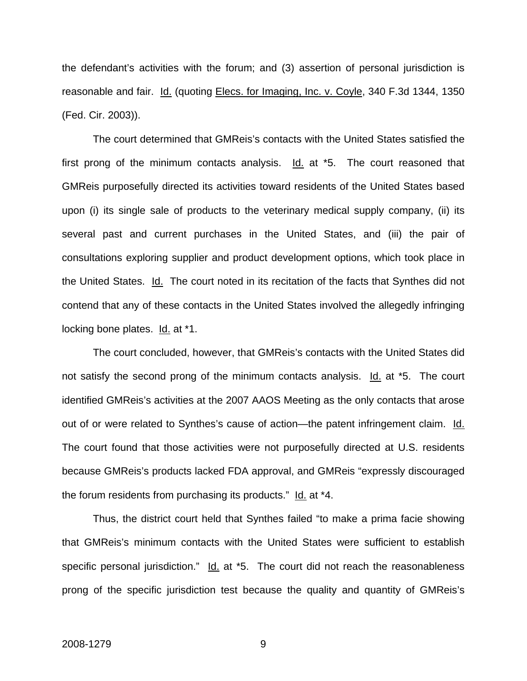the defendant's activities with the forum; and (3) assertion of personal jurisdiction is reasonable and fair. Id. (quoting Elecs. for Imaging, Inc. v. Coyle, 340 F.3d 1344, 1350 (Fed. Cir. 2003)).

The court determined that GMReis's contacts with the United States satisfied the first prong of the minimum contacts analysis. Id. at \*5. The court reasoned that GMReis purposefully directed its activities toward residents of the United States based upon (i) its single sale of products to the veterinary medical supply company, (ii) its several past and current purchases in the United States, and (iii) the pair of consultations exploring supplier and product development options, which took place in the United States. Id. The court noted in its recitation of the facts that Synthes did not contend that any of these contacts in the United States involved the allegedly infringing locking bone plates. Id. at \*1.

The court concluded, however, that GMReis's contacts with the United States did not satisfy the second prong of the minimum contacts analysis. Id. at \*5. The court identified GMReis's activities at the 2007 AAOS Meeting as the only contacts that arose out of or were related to Synthes's cause of action—the patent infringement claim. Id. The court found that those activities were not purposefully directed at U.S. residents because GMReis's products lacked FDA approval, and GMReis "expressly discouraged the forum residents from purchasing its products." Id. at \*4.

Thus, the district court held that Synthes failed "to make a prima facie showing that GMReis's minimum contacts with the United States were sufficient to establish specific personal jurisdiction." Id. at \*5. The court did not reach the reasonableness prong of the specific jurisdiction test because the quality and quantity of GMReis's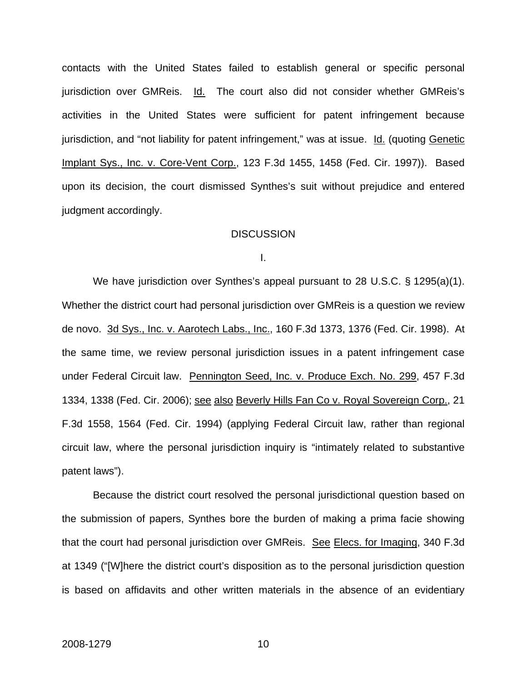contacts with the United States failed to establish general or specific personal jurisdiction over GMReis. Id. The court also did not consider whether GMReis's activities in the United States were sufficient for patent infringement because jurisdiction, and "not liability for patent infringement," was at issue. Id. (quoting Genetic Implant Sys., Inc. v. Core-Vent Corp., 123 F.3d 1455, 1458 (Fed. Cir. 1997)). Based upon its decision, the court dismissed Synthes's suit without prejudice and entered judgment accordingly.

#### **DISCUSSION**

I.

We have jurisdiction over Synthes's appeal pursuant to 28 U.S.C. § 1295(a)(1). Whether the district court had personal jurisdiction over GMReis is a question we review de novo. 3d Sys., Inc. v. Aarotech Labs., Inc., 160 F.3d 1373, 1376 (Fed. Cir. 1998). At the same time, we review personal jurisdiction issues in a patent infringement case under Federal Circuit law. Pennington Seed, Inc. v. Produce Exch. No. 299, 457 F.3d 1334, 1338 (Fed. Cir. 2006); see also Beverly Hills Fan Co v. Royal Sovereign Corp., 21 F.3d 1558, 1564 (Fed. Cir. 1994) (applying Federal Circuit law, rather than regional circuit law, where the personal jurisdiction inquiry is "intimately related to substantive patent laws").

Because the district court resolved the personal jurisdictional question based on the submission of papers, Synthes bore the burden of making a prima facie showing that the court had personal jurisdiction over GMReis. See Elecs. for Imaging, 340 F.3d at 1349 ("[W]here the district court's disposition as to the personal jurisdiction question is based on affidavits and other written materials in the absence of an evidentiary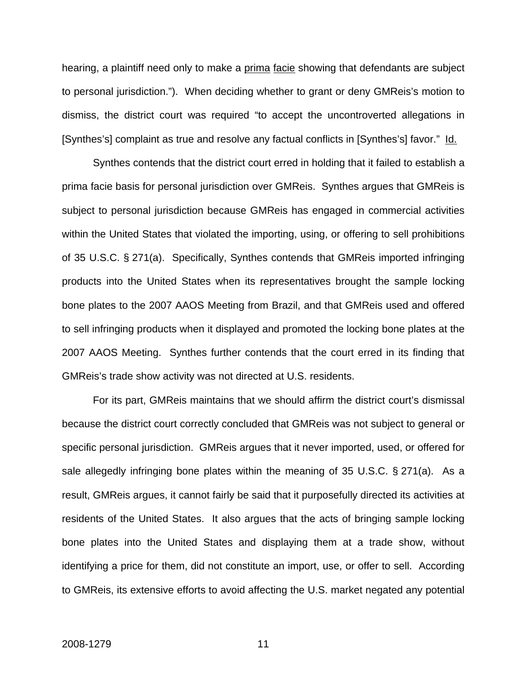hearing, a plaintiff need only to make a prima facie showing that defendants are subject to personal jurisdiction."). When deciding whether to grant or deny GMReis's motion to dismiss, the district court was required "to accept the uncontroverted allegations in [Synthes's] complaint as true and resolve any factual conflicts in [Synthes's] favor." Id.

Synthes contends that the district court erred in holding that it failed to establish a prima facie basis for personal jurisdiction over GMReis. Synthes argues that GMReis is subject to personal jurisdiction because GMReis has engaged in commercial activities within the United States that violated the importing, using, or offering to sell prohibitions of 35 U.S.C. § 271(a). Specifically, Synthes contends that GMReis imported infringing products into the United States when its representatives brought the sample locking bone plates to the 2007 AAOS Meeting from Brazil, and that GMReis used and offered to sell infringing products when it displayed and promoted the locking bone plates at the 2007 AAOS Meeting. Synthes further contends that the court erred in its finding that GMReis's trade show activity was not directed at U.S. residents.

For its part, GMReis maintains that we should affirm the district court's dismissal because the district court correctly concluded that GMReis was not subject to general or specific personal jurisdiction. GMReis argues that it never imported, used, or offered for sale allegedly infringing bone plates within the meaning of 35 U.S.C. § 271(a). As a result, GMReis argues, it cannot fairly be said that it purposefully directed its activities at residents of the United States. It also argues that the acts of bringing sample locking bone plates into the United States and displaying them at a trade show, without identifying a price for them, did not constitute an import, use, or offer to sell. According to GMReis, its extensive efforts to avoid affecting the U.S. market negated any potential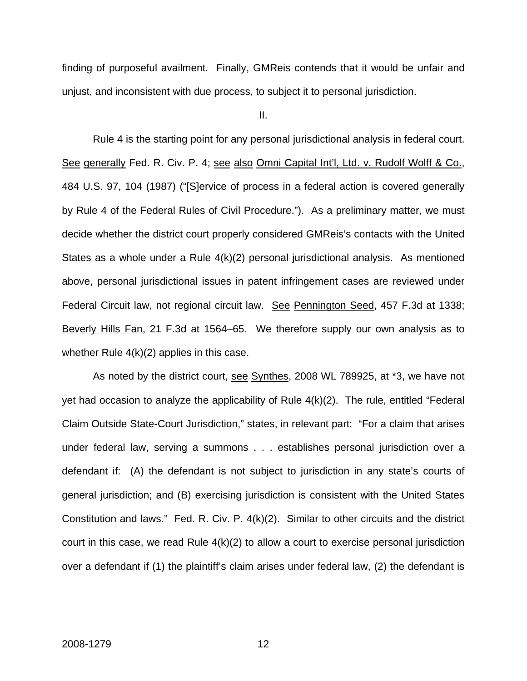finding of purposeful availment. Finally, GMReis contends that it would be unfair and unjust, and inconsistent with due process, to subject it to personal jurisdiction.

II.

Rule 4 is the starting point for any personal jurisdictional analysis in federal court. See generally Fed. R. Civ. P. 4; see also Omni Capital Int'l, Ltd. v. Rudolf Wolff & Co., 484 U.S. 97, 104 (1987) ("[S]ervice of process in a federal action is covered generally by Rule 4 of the Federal Rules of Civil Procedure."). As a preliminary matter, we must decide whether the district court properly considered GMReis's contacts with the United States as a whole under a Rule 4(k)(2) personal jurisdictional analysis. As mentioned above, personal jurisdictional issues in patent infringement cases are reviewed under Federal Circuit law, not regional circuit law. See Pennington Seed, 457 F.3d at 1338; Beverly Hills Fan, 21 F.3d at 1564–65. We therefore supply our own analysis as to whether Rule 4(k)(2) applies in this case.

As noted by the district court, see Synthes, 2008 WL 789925, at \*3, we have not yet had occasion to analyze the applicability of Rule 4(k)(2). The rule, entitled "Federal Claim Outside State-Court Jurisdiction," states, in relevant part: "For a claim that arises under federal law, serving a summons . . . establishes personal jurisdiction over a defendant if: (A) the defendant is not subject to jurisdiction in any state's courts of general jurisdiction; and (B) exercising jurisdiction is consistent with the United States Constitution and laws." Fed. R. Civ. P. 4(k)(2). Similar to other circuits and the district court in this case, we read Rule 4(k)(2) to allow a court to exercise personal jurisdiction over a defendant if (1) the plaintiff's claim arises under federal law, (2) the defendant is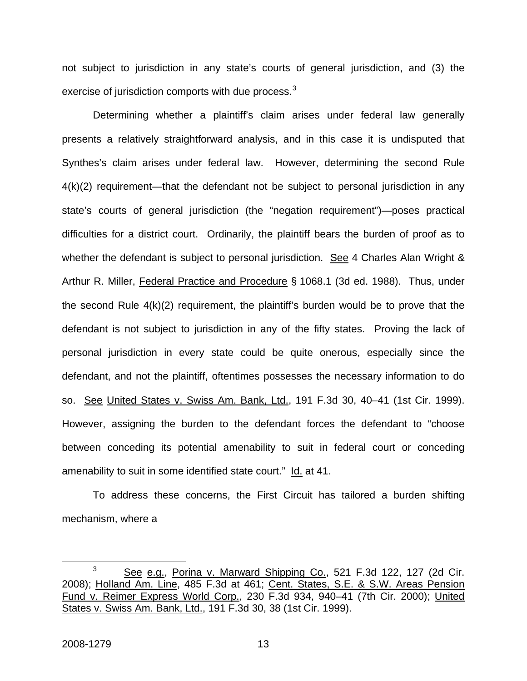not subject to jurisdiction in any state's courts of general jurisdiction, and (3) the exercise of jurisdiction comports with due process.<sup>[3](#page-13-0)</sup>

Determining whether a plaintiff's claim arises under federal law generally presents a relatively straightforward analysis, and in this case it is undisputed that Synthes's claim arises under federal law. However, determining the second Rule 4(k)(2) requirement—that the defendant not be subject to personal jurisdiction in any state's courts of general jurisdiction (the "negation requirement")—poses practical difficulties for a district court. Ordinarily, the plaintiff bears the burden of proof as to whether the defendant is subject to personal jurisdiction. See 4 Charles Alan Wright & Arthur R. Miller, Federal Practice and Procedure § 1068.1 (3d ed. 1988). Thus, under the second Rule 4(k)(2) requirement, the plaintiff's burden would be to prove that the defendant is not subject to jurisdiction in any of the fifty states. Proving the lack of personal jurisdiction in every state could be quite onerous, especially since the defendant, and not the plaintiff, oftentimes possesses the necessary information to do so. See United States v. Swiss Am. Bank, Ltd., 191 F.3d 30, 40–41 (1st Cir. 1999). However, assigning the burden to the defendant forces the defendant to "choose between conceding its potential amenability to suit in federal court or conceding amenability to suit in some identified state court." Id. at 41.

To address these concerns, the First Circuit has tailored a burden shifting mechanism, where a

<span id="page-13-0"></span> $\frac{1}{3}$ <sup>3</sup> See e.g., Porina v. Marward Shipping Co., 521 F.3d 122, 127 (2d Cir. 2008); Holland Am. Line, 485 F.3d at 461; Cent. States, S.E. & S.W. Areas Pension Fund v. Reimer Express World Corp., 230 F.3d 934, 940–41 (7th Cir. 2000); United States v. Swiss Am. Bank, Ltd., 191 F.3d 30, 38 (1st Cir. 1999).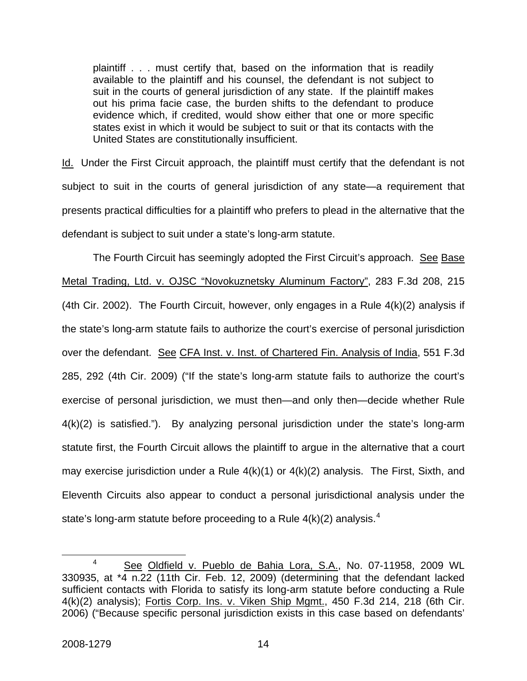plaintiff . . . must certify that, based on the information that is readily available to the plaintiff and his counsel, the defendant is not subject to suit in the courts of general jurisdiction of any state. If the plaintiff makes out his prima facie case, the burden shifts to the defendant to produce evidence which, if credited, would show either that one or more specific states exist in which it would be subject to suit or that its contacts with the United States are constitutionally insufficient.

Id. Under the First Circuit approach, the plaintiff must certify that the defendant is not subject to suit in the courts of general jurisdiction of any state—a requirement that presents practical difficulties for a plaintiff who prefers to plead in the alternative that the defendant is subject to suit under a state's long-arm statute.

The Fourth Circuit has seemingly adopted the First Circuit's approach. See Base Metal Trading, Ltd. v. OJSC "Novokuznetsky Aluminum Factory", 283 F.3d 208, 215 (4th Cir. 2002). The Fourth Circuit, however, only engages in a Rule 4(k)(2) analysis if the state's long-arm statute fails to authorize the court's exercise of personal jurisdiction over the defendant. See CFA Inst. v. Inst. of Chartered Fin. Analysis of India, 551 F.3d 285, 292 (4th Cir. 2009) ("If the state's long-arm statute fails to authorize the court's exercise of personal jurisdiction, we must then—and only then—decide whether Rule 4(k)(2) is satisfied."). By analyzing personal jurisdiction under the state's long-arm statute first, the Fourth Circuit allows the plaintiff to argue in the alternative that a court may exercise jurisdiction under a Rule  $4(k)(1)$  or  $4(k)(2)$  analysis. The First, Sixth, and Eleventh Circuits also appear to conduct a personal jurisdictional analysis under the state's long-arm statute before proceeding to a Rule  $4(k)(2)$  $4(k)(2)$  analysis.<sup>4</sup>

<span id="page-14-0"></span> $\overline{a}$  See Oldfield v. Pueblo de Bahia Lora, S.A., No. 07-11958, 2009 WL 330935, at \*4 n.22 (11th Cir. Feb. 12, 2009) (determining that the defendant lacked sufficient contacts with Florida to satisfy its long-arm statute before conducting a Rule 4(k)(2) analysis); Fortis Corp. Ins. v. Viken Ship Mgmt., 450 F.3d 214, 218 (6th Cir. 2006) ("Because specific personal jurisdiction exists in this case based on defendants'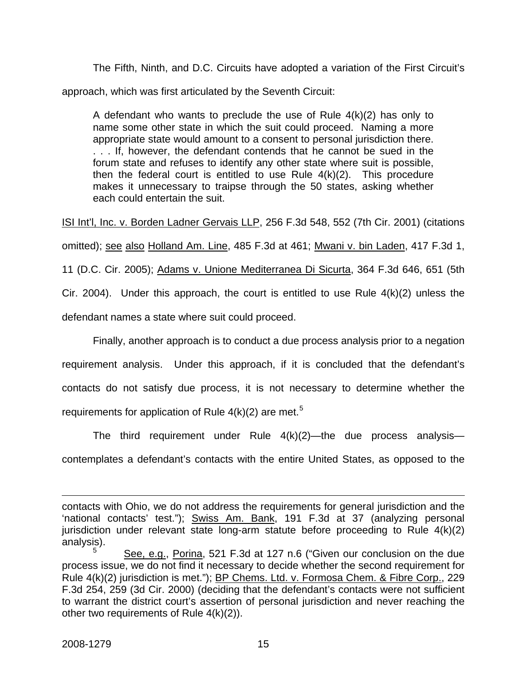The Fifth, Ninth, and D.C. Circuits have adopted a variation of the First Circuit's approach, which was first articulated by the Seventh Circuit:

A defendant who wants to preclude the use of Rule 4(k)(2) has only to name some other state in which the suit could proceed. Naming a more appropriate state would amount to a consent to personal jurisdiction there. . . . If, however, the defendant contends that he cannot be sued in the forum state and refuses to identify any other state where suit is possible, then the federal court is entitled to use Rule  $4(k)(2)$ . This procedure makes it unnecessary to traipse through the 50 states, asking whether each could entertain the suit.

ISI Int'l, Inc. v. Borden Ladner Gervais LLP, 256 F.3d 548, 552 (7th Cir. 2001) (citations omitted); see also Holland Am. Line, 485 F.3d at 461; Mwani v. bin Laden, 417 F.3d 1, 11 (D.C. Cir. 2005); Adams v. Unione Mediterranea Di Sicurta, 364 F.3d 646, 651 (5th Cir. 2004). Under this approach, the court is entitled to use Rule 4(k)(2) unless the defendant names a state where suit could proceed.

Finally, another approach is to conduct a due process analysis prior to a negation requirement analysis. Under this approach, if it is concluded that the defendant's contacts do not satisfy due process, it is not necessary to determine whether the requirements for application of Rule  $4(k)(2)$  are met.<sup>[5](#page-15-0)</sup>

The third requirement under Rule  $4(k)(2)$ —the due process analysis contemplates a defendant's contacts with the entire United States, as opposed to the

 $\overline{a}$ contacts with Ohio, we do not address the requirements for general jurisdiction and the 'national contacts' test."); Swiss Am. Bank, 191 F.3d at 37 (analyzing personal jurisdiction under relevant state long-arm statute before proceeding to Rule 4(k)(2) analysis).

<span id="page-15-0"></span><sup>5</sup> See, e.g., Porina, 521 F.3d at 127 n.6 ("Given our conclusion on the due process issue, we do not find it necessary to decide whether the second requirement for Rule 4(k)(2) jurisdiction is met."); BP Chems. Ltd. v. Formosa Chem. & Fibre Corp., 229 F.3d 254, 259 (3d Cir. 2000) (deciding that the defendant's contacts were not sufficient to warrant the district court's assertion of personal jurisdiction and never reaching the other two requirements of Rule 4(k)(2)).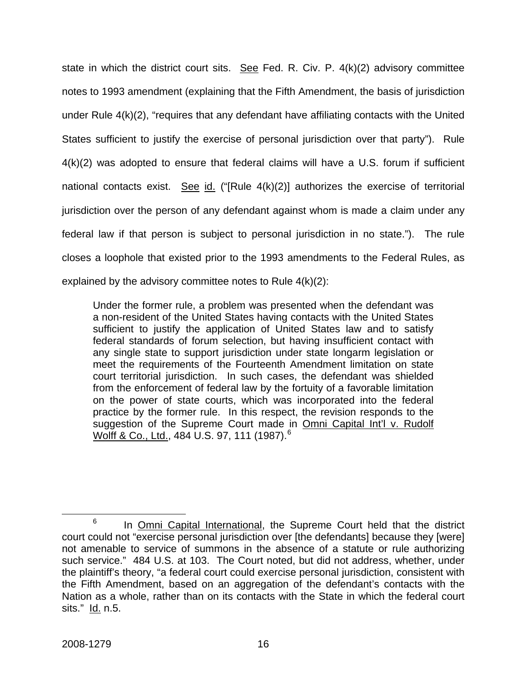state in which the district court sits. See Fed. R. Civ. P.  $4(k)(2)$  advisory committee notes to 1993 amendment (explaining that the Fifth Amendment, the basis of jurisdiction under Rule 4(k)(2), "requires that any defendant have affiliating contacts with the United States sufficient to justify the exercise of personal jurisdiction over that party"). Rule 4(k)(2) was adopted to ensure that federal claims will have a U.S. forum if sufficient national contacts exist. See id. ("[Rule  $4(k)(2)$ ] authorizes the exercise of territorial jurisdiction over the person of any defendant against whom is made a claim under any federal law if that person is subject to personal jurisdiction in no state."). The rule closes a loophole that existed prior to the 1993 amendments to the Federal Rules, as explained by the advisory committee notes to Rule 4(k)(2):

Under the former rule, a problem was presented when the defendant was a non-resident of the United States having contacts with the United States sufficient to justify the application of United States law and to satisfy federal standards of forum selection, but having insufficient contact with any single state to support jurisdiction under state longarm legislation or meet the requirements of the Fourteenth Amendment limitation on state court territorial jurisdiction. In such cases, the defendant was shielded from the enforcement of federal law by the fortuity of a favorable limitation on the power of state courts, which was incorporated into the federal practice by the former rule. In this respect, the revision responds to the suggestion of the Supreme Court made in Omni Capital Int'l v. Rudolf Wolff & Co., Ltd., 484 U.S. 97, 111 (1987).<sup>[6](#page-16-0)</sup>

<span id="page-16-0"></span> <sup>6</sup>  $6$  In Omni Capital International, the Supreme Court held that the district court could not "exercise personal jurisdiction over [the defendants] because they [were] not amenable to service of summons in the absence of a statute or rule authorizing such service." 484 U.S. at 103. The Court noted, but did not address, whether, under the plaintiff's theory, "a federal court could exercise personal jurisdiction, consistent with the Fifth Amendment, based on an aggregation of the defendant's contacts with the Nation as a whole, rather than on its contacts with the State in which the federal court sits." Id. n.5.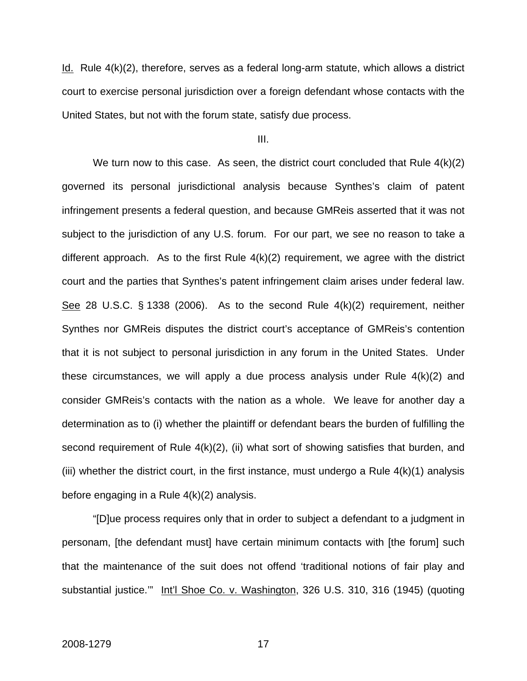Id. Rule 4(k)(2), therefore, serves as a federal long-arm statute, which allows a district court to exercise personal jurisdiction over a foreign defendant whose contacts with the United States, but not with the forum state, satisfy due process.

III.

We turn now to this case. As seen, the district court concluded that Rule  $4(k)(2)$ governed its personal jurisdictional analysis because Synthes's claim of patent infringement presents a federal question, and because GMReis asserted that it was not subject to the jurisdiction of any U.S. forum. For our part, we see no reason to take a different approach. As to the first Rule 4(k)(2) requirement, we agree with the district court and the parties that Synthes's patent infringement claim arises under federal law. See 28 U.S.C. § 1338 (2006). As to the second Rule 4(k)(2) requirement, neither Synthes nor GMReis disputes the district court's acceptance of GMReis's contention that it is not subject to personal jurisdiction in any forum in the United States. Under these circumstances, we will apply a due process analysis under Rule 4(k)(2) and consider GMReis's contacts with the nation as a whole. We leave for another day a determination as to (i) whether the plaintiff or defendant bears the burden of fulfilling the second requirement of Rule 4(k)(2), (ii) what sort of showing satisfies that burden, and (iii) whether the district court, in the first instance, must undergo a Rule  $4(k)(1)$  analysis before engaging in a Rule 4(k)(2) analysis.

"[D]ue process requires only that in order to subject a defendant to a judgment in personam, [the defendant must] have certain minimum contacts with [the forum] such that the maintenance of the suit does not offend 'traditional notions of fair play and substantial justice." Int'l Shoe Co. v. Washington, 326 U.S. 310, 316 (1945) (quoting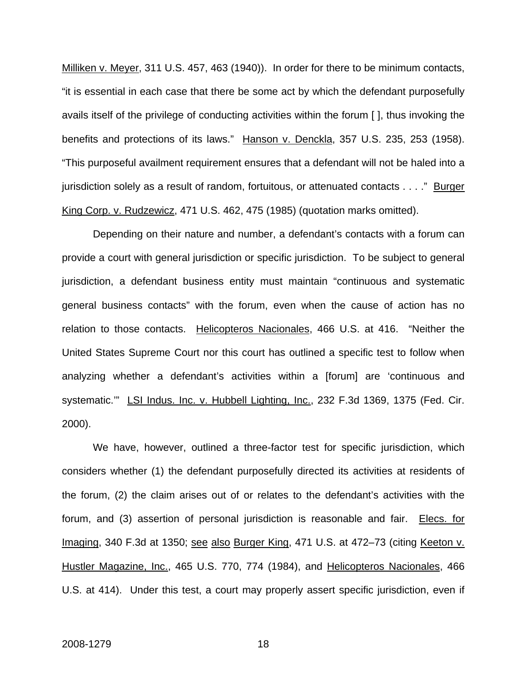Milliken v. Meyer, 311 U.S. 457, 463 (1940)). In order for there to be minimum contacts, "it is essential in each case that there be some act by which the defendant purposefully avails itself of the privilege of conducting activities within the forum [ ], thus invoking the benefits and protections of its laws." Hanson v. Denckla, 357 U.S. 235, 253 (1958). "This purposeful availment requirement ensures that a defendant will not be haled into a jurisdiction solely as a result of random, fortuitous, or attenuated contacts . . . ." Burger King Corp. v. Rudzewicz, 471 U.S. 462, 475 (1985) (quotation marks omitted).

Depending on their nature and number, a defendant's contacts with a forum can provide a court with general jurisdiction or specific jurisdiction. To be subject to general jurisdiction, a defendant business entity must maintain "continuous and systematic general business contacts" with the forum, even when the cause of action has no relation to those contacts. Helicopteros Nacionales, 466 U.S. at 416. "Neither the United States Supreme Court nor this court has outlined a specific test to follow when analyzing whether a defendant's activities within a [forum] are 'continuous and systematic." LSI Indus. Inc. v. Hubbell Lighting, Inc., 232 F.3d 1369, 1375 (Fed. Cir. 2000).

We have, however, outlined a three-factor test for specific jurisdiction, which considers whether (1) the defendant purposefully directed its activities at residents of the forum, (2) the claim arises out of or relates to the defendant's activities with the forum, and (3) assertion of personal jurisdiction is reasonable and fair. Elecs. for Imaging, 340 F.3d at 1350; see also Burger King, 471 U.S. at 472–73 (citing Keeton v. Hustler Magazine, Inc., 465 U.S. 770, 774 (1984), and Helicopteros Nacionales, 466 U.S. at 414). Under this test, a court may properly assert specific jurisdiction, even if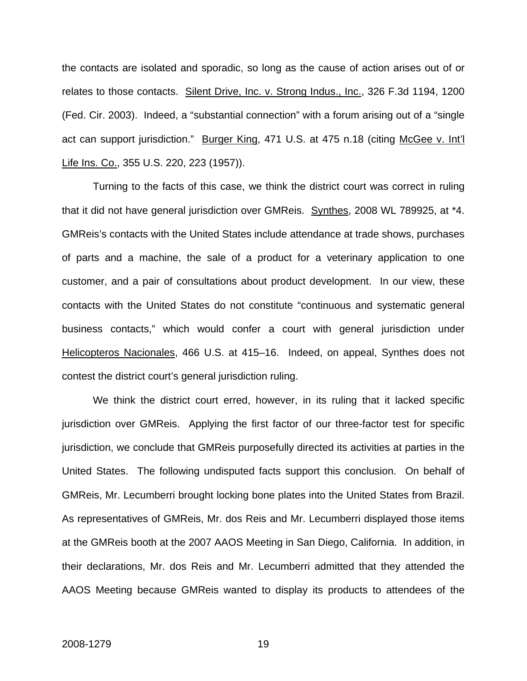the contacts are isolated and sporadic, so long as the cause of action arises out of or relates to those contacts. Silent Drive, Inc. v. Strong Indus., Inc., 326 F.3d 1194, 1200 (Fed. Cir. 2003). Indeed, a "substantial connection" with a forum arising out of a "single act can support jurisdiction." Burger King, 471 U.S. at 475 n.18 (citing McGee v. Int'l Life Ins. Co., 355 U.S. 220, 223 (1957)).

Turning to the facts of this case, we think the district court was correct in ruling that it did not have general jurisdiction over GMReis. Synthes, 2008 WL 789925, at \*4. GMReis's contacts with the United States include attendance at trade shows, purchases of parts and a machine, the sale of a product for a veterinary application to one customer, and a pair of consultations about product development. In our view, these contacts with the United States do not constitute "continuous and systematic general business contacts," which would confer a court with general jurisdiction under Helicopteros Nacionales, 466 U.S. at 415–16. Indeed, on appeal, Synthes does not contest the district court's general jurisdiction ruling.

We think the district court erred, however, in its ruling that it lacked specific jurisdiction over GMReis. Applying the first factor of our three-factor test for specific jurisdiction, we conclude that GMReis purposefully directed its activities at parties in the United States. The following undisputed facts support this conclusion. On behalf of GMReis, Mr. Lecumberri brought locking bone plates into the United States from Brazil. As representatives of GMReis, Mr. dos Reis and Mr. Lecumberri displayed those items at the GMReis booth at the 2007 AAOS Meeting in San Diego, California. In addition, in their declarations, Mr. dos Reis and Mr. Lecumberri admitted that they attended the AAOS Meeting because GMReis wanted to display its products to attendees of the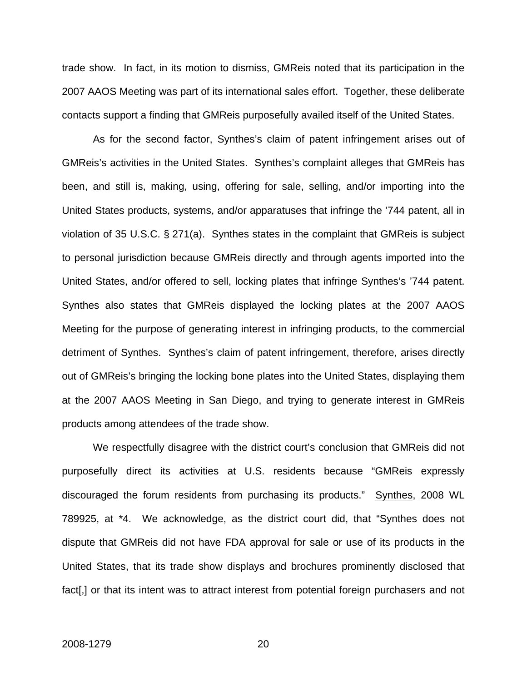trade show. In fact, in its motion to dismiss, GMReis noted that its participation in the 2007 AAOS Meeting was part of its international sales effort. Together, these deliberate contacts support a finding that GMReis purposefully availed itself of the United States.

As for the second factor, Synthes's claim of patent infringement arises out of GMReis's activities in the United States. Synthes's complaint alleges that GMReis has been, and still is, making, using, offering for sale, selling, and/or importing into the United States products, systems, and/or apparatuses that infringe the '744 patent, all in violation of 35 U.S.C. § 271(a). Synthes states in the complaint that GMReis is subject to personal jurisdiction because GMReis directly and through agents imported into the United States, and/or offered to sell, locking plates that infringe Synthes's '744 patent. Synthes also states that GMReis displayed the locking plates at the 2007 AAOS Meeting for the purpose of generating interest in infringing products, to the commercial detriment of Synthes. Synthes's claim of patent infringement, therefore, arises directly out of GMReis's bringing the locking bone plates into the United States, displaying them at the 2007 AAOS Meeting in San Diego, and trying to generate interest in GMReis products among attendees of the trade show.

We respectfully disagree with the district court's conclusion that GMReis did not purposefully direct its activities at U.S. residents because "GMReis expressly discouraged the forum residents from purchasing its products." Synthes, 2008 WL 789925, at \*4. We acknowledge, as the district court did, that "Synthes does not dispute that GMReis did not have FDA approval for sale or use of its products in the United States, that its trade show displays and brochures prominently disclosed that fact[,] or that its intent was to attract interest from potential foreign purchasers and not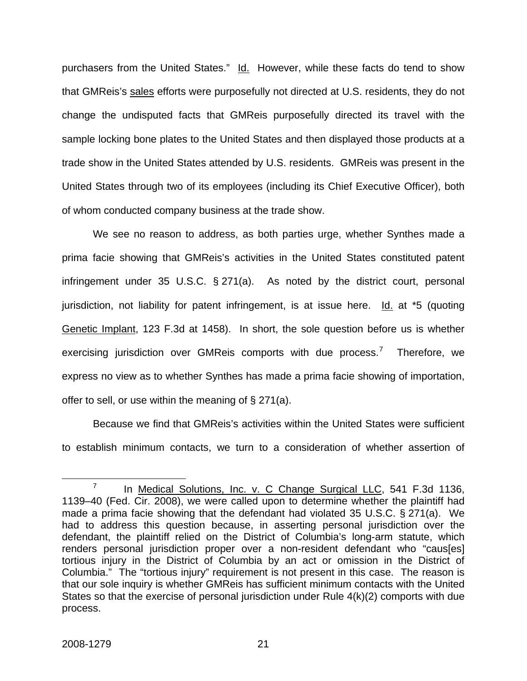purchasers from the United States." Id. However, while these facts do tend to show that GMReis's sales efforts were purposefully not directed at U.S. residents, they do not change the undisputed facts that GMReis purposefully directed its travel with the sample locking bone plates to the United States and then displayed those products at a trade show in the United States attended by U.S. residents. GMReis was present in the United States through two of its employees (including its Chief Executive Officer), both of whom conducted company business at the trade show.

We see no reason to address, as both parties urge, whether Synthes made a prima facie showing that GMReis's activities in the United States constituted patent infringement under 35 U.S.C. § 271(a). As noted by the district court, personal jurisdiction, not liability for patent infringement, is at issue here.  $Id$  at  $*5$  (quoting Genetic Implant, 123 F.3d at 1458). In short, the sole question before us is whether exercising jurisdiction over GMReis comports with due process.<sup>[7](#page-21-0)</sup> Therefore, we express no view as to whether Synthes has made a prima facie showing of importation, offer to sell, or use within the meaning of § 271(a).

Because we find that GMReis's activities within the United States were sufficient to establish minimum contacts, we turn to a consideration of whether assertion of

 $\overline{a}$ 

<span id="page-21-0"></span><sup>7</sup> In Medical Solutions, Inc. v. C Change Surgical LLC, 541 F.3d 1136, 1139–40 (Fed. Cir. 2008), we were called upon to determine whether the plaintiff had made a prima facie showing that the defendant had violated 35 U.S.C. § 271(a). We had to address this question because, in asserting personal jurisdiction over the defendant, the plaintiff relied on the District of Columbia's long-arm statute, which renders personal jurisdiction proper over a non-resident defendant who "caus[es] tortious injury in the District of Columbia by an act or omission in the District of Columbia." The "tortious injury" requirement is not present in this case. The reason is that our sole inquiry is whether GMReis has sufficient minimum contacts with the United States so that the exercise of personal jurisdiction under Rule 4(k)(2) comports with due process.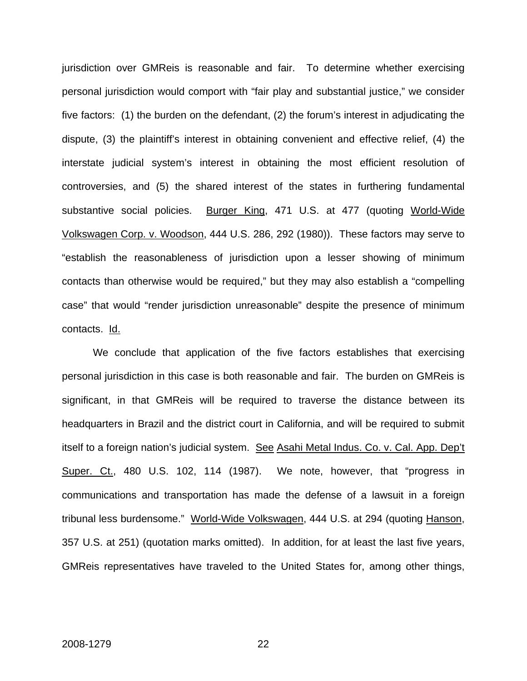jurisdiction over GMReis is reasonable and fair. To determine whether exercising personal jurisdiction would comport with "fair play and substantial justice," we consider five factors: (1) the burden on the defendant, (2) the forum's interest in adjudicating the dispute, (3) the plaintiff's interest in obtaining convenient and effective relief, (4) the interstate judicial system's interest in obtaining the most efficient resolution of controversies, and (5) the shared interest of the states in furthering fundamental substantive social policies. Burger King, 471 U.S. at 477 (quoting World-Wide Volkswagen Corp. v. Woodson, 444 U.S. 286, 292 (1980)). These factors may serve to "establish the reasonableness of jurisdiction upon a lesser showing of minimum contacts than otherwise would be required," but they may also establish a "compelling case" that would "render jurisdiction unreasonable" despite the presence of minimum contacts. Id.

We conclude that application of the five factors establishes that exercising personal jurisdiction in this case is both reasonable and fair. The burden on GMReis is significant, in that GMReis will be required to traverse the distance between its headquarters in Brazil and the district court in California, and will be required to submit itself to a foreign nation's judicial system. See Asahi Metal Indus. Co. v. Cal. App. Dep't Super. Ct., 480 U.S. 102, 114 (1987). We note, however, that "progress in communications and transportation has made the defense of a lawsuit in a foreign tribunal less burdensome." World-Wide Volkswagen, 444 U.S. at 294 (quoting Hanson, 357 U.S. at 251) (quotation marks omitted). In addition, for at least the last five years, GMReis representatives have traveled to the United States for, among other things,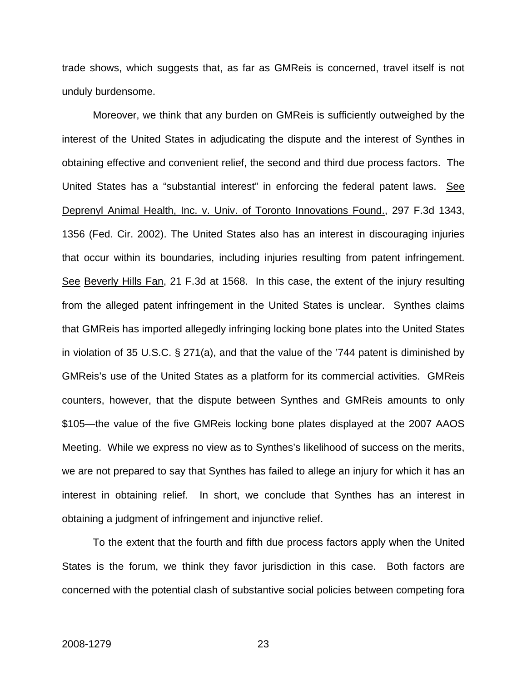trade shows, which suggests that, as far as GMReis is concerned, travel itself is not unduly burdensome.

Moreover, we think that any burden on GMReis is sufficiently outweighed by the interest of the United States in adjudicating the dispute and the interest of Synthes in obtaining effective and convenient relief, the second and third due process factors. The United States has a "substantial interest" in enforcing the federal patent laws. See Deprenyl Animal Health, Inc. v. Univ. of Toronto Innovations Found., 297 F.3d 1343, 1356 (Fed. Cir. 2002). The United States also has an interest in discouraging injuries that occur within its boundaries, including injuries resulting from patent infringement. See Beverly Hills Fan, 21 F.3d at 1568. In this case, the extent of the injury resulting from the alleged patent infringement in the United States is unclear. Synthes claims that GMReis has imported allegedly infringing locking bone plates into the United States in violation of 35 U.S.C. § 271(a), and that the value of the '744 patent is diminished by GMReis's use of the United States as a platform for its commercial activities. GMReis counters, however, that the dispute between Synthes and GMReis amounts to only \$105—the value of the five GMReis locking bone plates displayed at the 2007 AAOS Meeting. While we express no view as to Synthes's likelihood of success on the merits, we are not prepared to say that Synthes has failed to allege an injury for which it has an interest in obtaining relief. In short, we conclude that Synthes has an interest in obtaining a judgment of infringement and injunctive relief.

To the extent that the fourth and fifth due process factors apply when the United States is the forum, we think they favor jurisdiction in this case. Both factors are concerned with the potential clash of substantive social policies between competing fora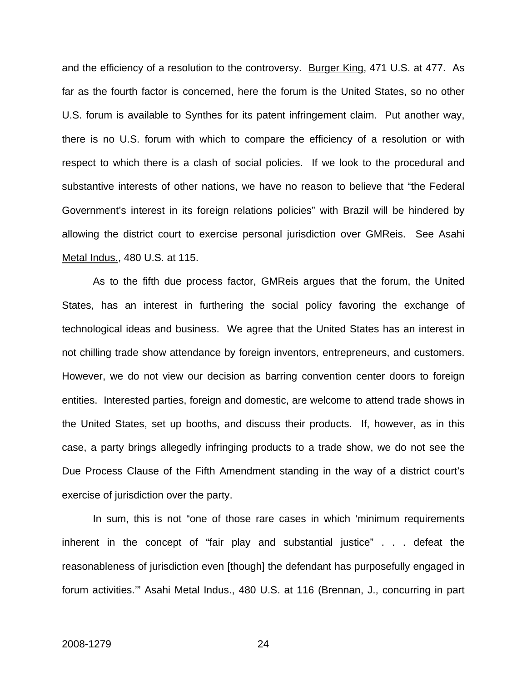and the efficiency of a resolution to the controversy. Burger King, 471 U.S. at 477. As far as the fourth factor is concerned, here the forum is the United States, so no other U.S. forum is available to Synthes for its patent infringement claim. Put another way, there is no U.S. forum with which to compare the efficiency of a resolution or with respect to which there is a clash of social policies. If we look to the procedural and substantive interests of other nations, we have no reason to believe that "the Federal Government's interest in its foreign relations policies" with Brazil will be hindered by allowing the district court to exercise personal jurisdiction over GMReis. See Asahi Metal Indus., 480 U.S. at 115.

As to the fifth due process factor, GMReis argues that the forum, the United States, has an interest in furthering the social policy favoring the exchange of technological ideas and business. We agree that the United States has an interest in not chilling trade show attendance by foreign inventors, entrepreneurs, and customers. However, we do not view our decision as barring convention center doors to foreign entities. Interested parties, foreign and domestic, are welcome to attend trade shows in the United States, set up booths, and discuss their products. If, however, as in this case, a party brings allegedly infringing products to a trade show, we do not see the Due Process Clause of the Fifth Amendment standing in the way of a district court's exercise of jurisdiction over the party.

In sum, this is not "one of those rare cases in which 'minimum requirements inherent in the concept of "fair play and substantial justice" . . . defeat the reasonableness of jurisdiction even [though] the defendant has purposefully engaged in forum activities.'" Asahi Metal Indus., 480 U.S. at 116 (Brennan, J., concurring in part